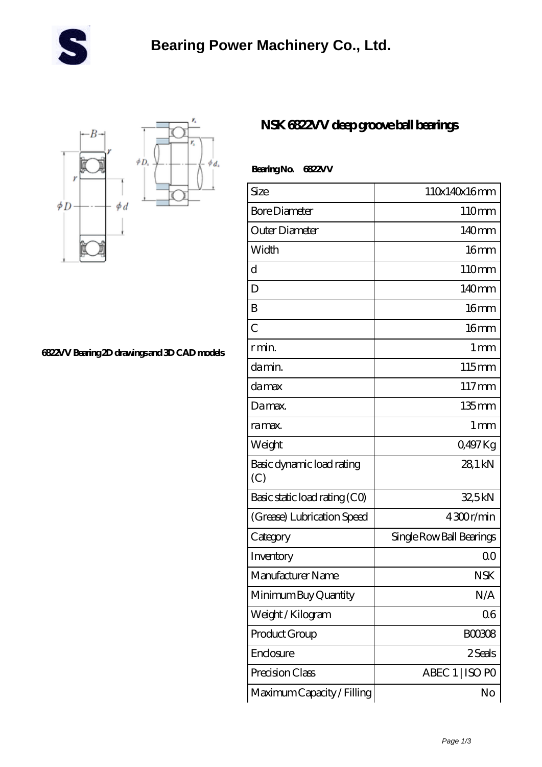



**[6822VV Bearing 2D drawings and 3D CAD models](https://wifkn.com/pic-48540.html)**

## **[NSK 6822VV deep groove ball bearings](https://wifkn.com/al-48540-nsk-6822vv-deep-groove-ball-bearings.html)**

| <b>BearingNo.</b><br>6822VV      |                          |
|----------------------------------|--------------------------|
| Size                             | 110x140x16mm             |
| <b>Bore Diameter</b>             | 110mm                    |
| Outer Diameter                   | 140 <sub>mm</sub>        |
| Width                            | 16 <sub>mm</sub>         |
| d                                | 110mm                    |
| D                                | 140 <sub>mm</sub>        |
| B                                | 16 <sub>mm</sub>         |
| $\overline{C}$                   | 16 <sub>mm</sub>         |
| r min.                           | 1 <sub>mm</sub>          |
| da min.                          | 115mm                    |
| da max                           | $117 \text{mm}$          |
| Damax.                           | 135mm                    |
| ra max.                          | $1 \,\mathrm{mm}$        |
| Weight                           | 0,497Kg                  |
| Basic dynamic load rating<br>(C) | 28.1 kN                  |
| Basic static load rating (CO)    | 32,5kN                   |
| (Grease) Lubrication Speed       | 4300r/min                |
| Category                         | Single Row Ball Bearings |
| Inventory                        | 0 <sub>0</sub>           |
| Manufacturer Name                | <b>NSK</b>               |
| Minimum Buy Quantity             | N/A                      |
| Weight / Kilogram                | 06                       |
| Product Group                    | BOO3O8                   |
| Enclosure                        | 2 Seals                  |
| Precision Class                  | ABEC 1   ISO PO          |
| Maximum Capacity / Filling       | No                       |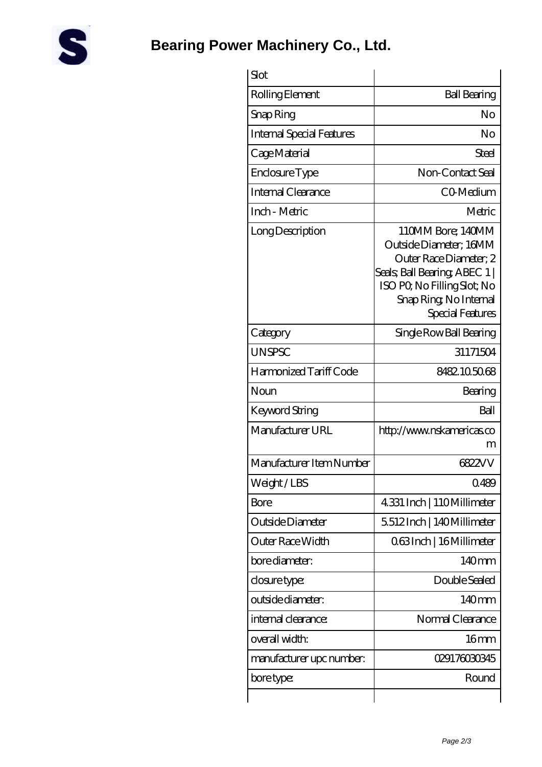

**[Bearing Power Machinery Co., Ltd.](https://wifkn.com)**

| Slot                             |                                                                                                                                                                                     |
|----------------------------------|-------------------------------------------------------------------------------------------------------------------------------------------------------------------------------------|
| Rolling Element                  | <b>Ball Bearing</b>                                                                                                                                                                 |
| Snap Ring                        | No                                                                                                                                                                                  |
| <b>Internal Special Features</b> | No                                                                                                                                                                                  |
| Cage Material                    | Steel                                                                                                                                                                               |
| Enclosure Type                   | Non-Contact Seal                                                                                                                                                                    |
| <b>Internal Clearance</b>        | C <sub>0</sub> Medium                                                                                                                                                               |
| Inch - Metric                    | Metric                                                                                                                                                                              |
| Long Description                 | 110MM Bore; 140MM<br>Outside Diameter; 16MM<br>Outer Race Diameter: 2<br>Seals; Ball Bearing; ABEC 1  <br>ISO PO, No Filling Slot; No<br>Snap Ring, No Internal<br>Special Features |
| Category                         | Single Row Ball Bearing                                                                                                                                                             |
| <b>UNSPSC</b>                    | 31171504                                                                                                                                                                            |
| Harmonized Tariff Code           | 8482105068                                                                                                                                                                          |
| Noun                             | Bearing                                                                                                                                                                             |
| Keyword String                   | Ball                                                                                                                                                                                |
| Manufacturer URL                 | http://www.nskamericas.co<br>m                                                                                                                                                      |
| Manufacturer Item Number         | 6822VV                                                                                                                                                                              |
| Weight/LBS                       | 0489                                                                                                                                                                                |
| Bore                             | 4.331 Inch   110Millimeter                                                                                                                                                          |
| Outside Diameter                 | 5512Inch   140Millimeter                                                                                                                                                            |
| Outer Race Width                 | 063Inch   16Millimeter                                                                                                                                                              |
| bore diameter:                   | 140mm                                                                                                                                                                               |
| closure type:                    | Double Sealed                                                                                                                                                                       |
| outside diameter:                | $140$ mm                                                                                                                                                                            |
| internal clearance:              | Normal Clearance                                                                                                                                                                    |
| overall width:                   | 16 <sub>mm</sub>                                                                                                                                                                    |
| manufacturer upc number.         | 029176030345                                                                                                                                                                        |
| bore type:                       | Round                                                                                                                                                                               |
|                                  |                                                                                                                                                                                     |